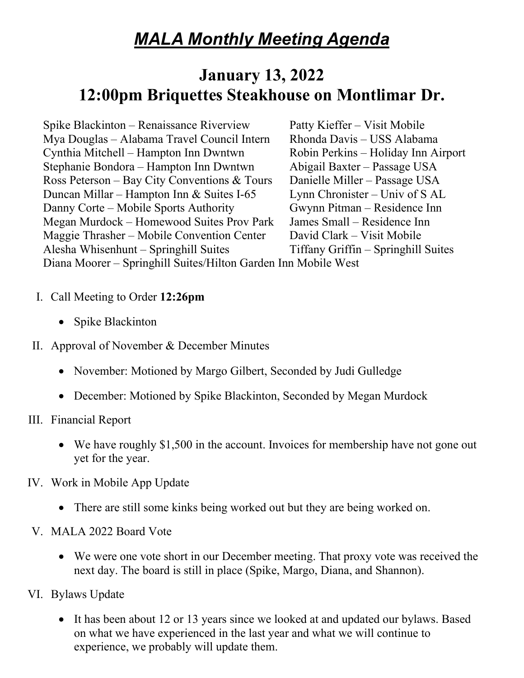# *MALA Monthly Meeting Agenda*

# **January 13, 2022 12:00pm Briquettes Steakhouse on Montlimar Dr.**

Spike Blackinton – Renaissance Riverview Patty Kieffer – Visit Mobile Mya Douglas – Alabama Travel Council Intern Rhonda Davis – USS Alabama Cynthia Mitchell – Hampton Inn Dwntwn Robin Perkins – Holiday Inn Airport Stephanie Bondora – Hampton Inn Dwntwn Abigail Baxter – Passage USA Ross Peterson – Bay City Conventions & Tours Danielle Miller – Passage USA Duncan Millar – Hampton Inn & Suites I-65 Lynn Chronister – Univ of S AL Danny Corte – Mobile Sports Authority Gwynn Pitman – Residence Inn Megan Murdock – Homewood Suites Prov Park James Small – Residence Inn Maggie Thrasher – Mobile Convention Center David Clark – Visit Mobile Alesha Whisenhunt – Springhill Suites Tiffany Griffin – Springhill Suites Diana Moorer – Springhill Suites/Hilton Garden Inn Mobile West

- I. Call Meeting to Order **12:26pm**
	- Spike Blackinton
- II. Approval of November & December Minutes
	- November: Motioned by Margo Gilbert, Seconded by Judi Gulledge
	- December: Motioned by Spike Blackinton, Seconded by Megan Murdock
- III. Financial Report
	- We have roughly \$1,500 in the account. Invoices for membership have not gone out yet for the year.
- IV. Work in Mobile App Update
	- There are still some kinks being worked out but they are being worked on.
- V. MALA 2022 Board Vote
	- We were one vote short in our December meeting. That proxy vote was received the next day. The board is still in place (Spike, Margo, Diana, and Shannon).
- VI. Bylaws Update
	- It has been about 12 or 13 years since we looked at and updated our bylaws. Based on what we have experienced in the last year and what we will continue to experience, we probably will update them.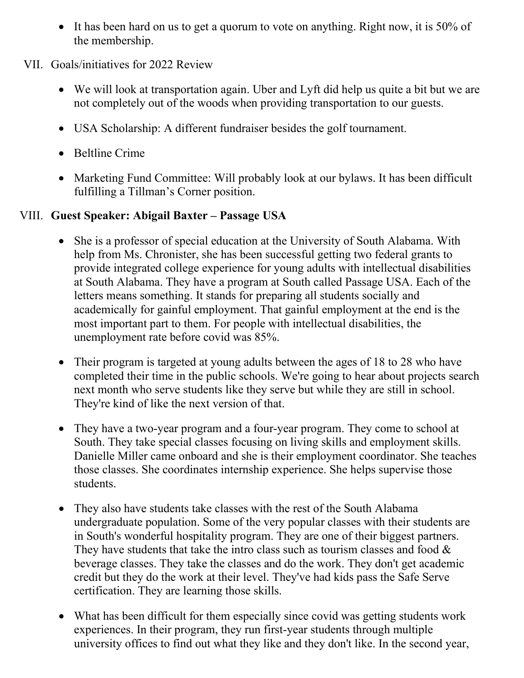• It has been hard on us to get a quorum to vote on anything. Right now, it is 50% of the membership.

### VII. Goals/initiatives for 2022 Review

- We will look at transportation again. Uber and Lyft did help us quite a bit but we are not completely out of the woods when providing transportation to our guests.
- USA Scholarship: A different fundraiser besides the golf tournament.
- Beltline Crime
- Marketing Fund Committee: Will probably look at our bylaws. It has been difficult fulfilling a Tillman's Corner position.

## VIII. **Guest Speaker: Abigail Baxter – Passage USA**

- She is a professor of special education at the University of South Alabama. With help from Ms. Chronister, she has been successful getting two federal grants to provide integrated college experience for young adults with intellectual disabilities at South Alabama. They have a program at South called Passage USA. Each of the letters means something. It stands for preparing all students socially and academically for gainful employment. That gainful employment at the end is the most important part to them. For people with intellectual disabilities, the unemployment rate before covid was 85%.
- Their program is targeted at young adults between the ages of 18 to 28 who have completed their time in the public schools. We're going to hear about projects search next month who serve students like they serve but while they are still in school. They're kind of like the next version of that.
- They have a two-year program and a four-year program. They come to school at South. They take special classes focusing on living skills and employment skills. Danielle Miller came onboard and she is their employment coordinator. She teaches those classes. She coordinates internship experience. She helps supervise those students.
- They also have students take classes with the rest of the South Alabama undergraduate population. Some of the very popular classes with their students are in South's wonderful hospitality program. They are one of their biggest partners. They have students that take the intro class such as tourism classes and food  $\&$ beverage classes. They take the classes and do the work. They don't get academic credit but they do the work at their level. They've had kids pass the Safe Serve certification. They are learning those skills.
- What has been difficult for them especially since covid was getting students work experiences. In their program, they run first-year students through multiple university offices to find out what they like and they don't like. In the second year,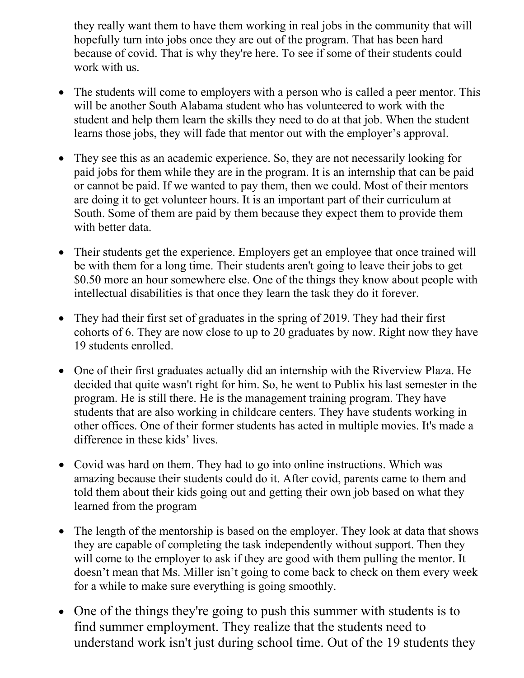they really want them to have them working in real jobs in the community that will hopefully turn into jobs once they are out of the program. That has been hard because of covid. That is why they're here. To see if some of their students could work with us.

- The students will come to employers with a person who is called a peer mentor. This will be another South Alabama student who has volunteered to work with the student and help them learn the skills they need to do at that job. When the student learns those jobs, they will fade that mentor out with the employer's approval.
- They see this as an academic experience. So, they are not necessarily looking for paid jobs for them while they are in the program. It is an internship that can be paid or cannot be paid. If we wanted to pay them, then we could. Most of their mentors are doing it to get volunteer hours. It is an important part of their curriculum at South. Some of them are paid by them because they expect them to provide them with better data.
- Their students get the experience. Employers get an employee that once trained will be with them for a long time. Their students aren't going to leave their jobs to get \$0.50 more an hour somewhere else. One of the things they know about people with intellectual disabilities is that once they learn the task they do it forever.
- They had their first set of graduates in the spring of 2019. They had their first cohorts of 6. They are now close to up to 20 graduates by now. Right now they have 19 students enrolled.
- One of their first graduates actually did an internship with the Riverview Plaza. He decided that quite wasn't right for him. So, he went to Publix his last semester in the program. He is still there. He is the management training program. They have students that are also working in childcare centers. They have students working in other offices. One of their former students has acted in multiple movies. It's made a difference in these kids' lives.
- Covid was hard on them. They had to go into online instructions. Which was amazing because their students could do it. After covid, parents came to them and told them about their kids going out and getting their own job based on what they learned from the program
- The length of the mentorship is based on the employer. They look at data that shows they are capable of completing the task independently without support. Then they will come to the employer to ask if they are good with them pulling the mentor. It doesn't mean that Ms. Miller isn't going to come back to check on them every week for a while to make sure everything is going smoothly.
- One of the things they're going to push this summer with students is to find summer employment. They realize that the students need to understand work isn't just during school time. Out of the 19 students they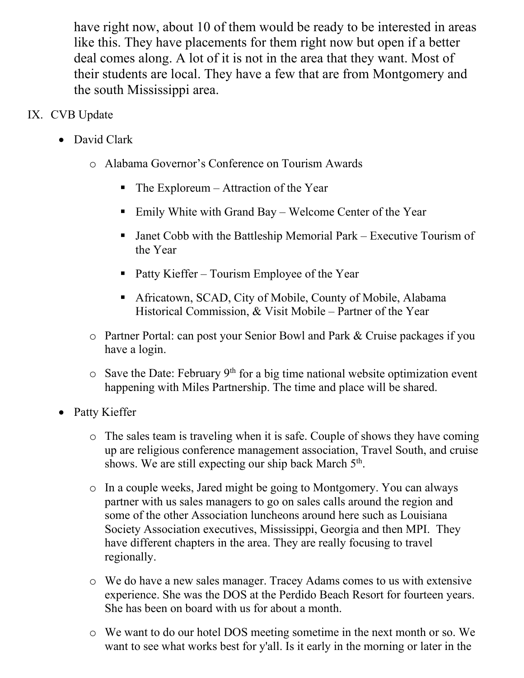have right now, about 10 of them would be ready to be interested in areas like this. They have placements for them right now but open if a better deal comes along. A lot of it is not in the area that they want. Most of their students are local. They have a few that are from Montgomery and the south Mississippi area.

# IX. CVB Update

- David Clark
	- o Alabama Governor's Conference on Tourism Awards
		- $\blacksquare$  The Exploreum Attraction of the Year
		- Emily White with Grand Bay Welcome Center of the Year
		- Janet Cobb with the Battleship Memorial Park Executive Tourism of the Year
		- Patty Kieffer Tourism Employee of the Year
		- Africatown, SCAD, City of Mobile, County of Mobile, Alabama Historical Commission, & Visit Mobile – Partner of the Year
	- o Partner Portal: can post your Senior Bowl and Park & Cruise packages if you have a login.
	- $\circ$  Save the Date: February 9<sup>th</sup> for a big time national website optimization event happening with Miles Partnership. The time and place will be shared.
- Patty Kieffer
	- o The sales team is traveling when it is safe. Couple of shows they have coming up are religious conference management association, Travel South, and cruise shows. We are still expecting our ship back March  $5<sup>th</sup>$ .
	- o In a couple weeks, Jared might be going to Montgomery. You can always partner with us sales managers to go on sales calls around the region and some of the other Association luncheons around here such as Louisiana Society Association executives, Mississippi, Georgia and then MPI. They have different chapters in the area. They are really focusing to travel regionally.
	- o We do have a new sales manager. Tracey Adams comes to us with extensive experience. She was the DOS at the Perdido Beach Resort for fourteen years. She has been on board with us for about a month.
	- o We want to do our hotel DOS meeting sometime in the next month or so. We want to see what works best for y'all. Is it early in the morning or later in the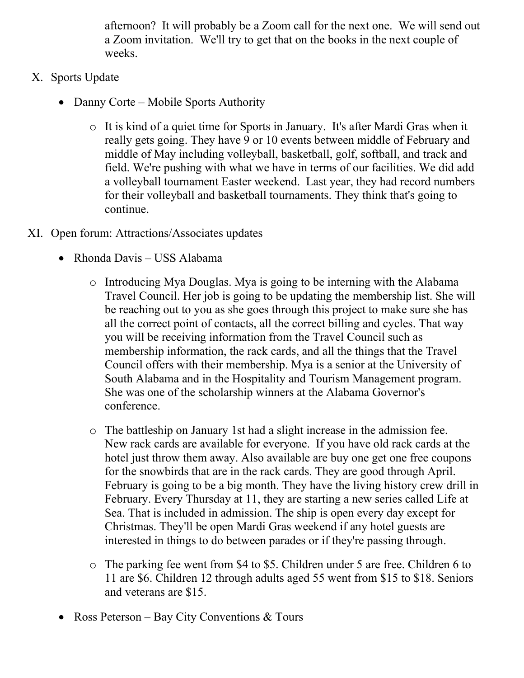afternoon? It will probably be a Zoom call for the next one. We will send out a Zoom invitation. We'll try to get that on the books in the next couple of weeks.

- X. Sports Update
	- Danny Corte Mobile Sports Authority
		- o It is kind of a quiet time for Sports in January. It's after Mardi Gras when it really gets going. They have 9 or 10 events between middle of February and middle of May including volleyball, basketball, golf, softball, and track and field. We're pushing with what we have in terms of our facilities. We did add a volleyball tournament Easter weekend. Last year, they had record numbers for their volleyball and basketball tournaments. They think that's going to continue.
- XI. Open forum: Attractions/Associates updates
	- Rhonda Davis USS Alabama
		- o Introducing Mya Douglas. Mya is going to be interning with the Alabama Travel Council. Her job is going to be updating the membership list. She will be reaching out to you as she goes through this project to make sure she has all the correct point of contacts, all the correct billing and cycles. That way you will be receiving information from the Travel Council such as membership information, the rack cards, and all the things that the Travel Council offers with their membership. Mya is a senior at the University of South Alabama and in the Hospitality and Tourism Management program. She was one of the scholarship winners at the Alabama Governor's conference.
		- o The battleship on January 1st had a slight increase in the admission fee. New rack cards are available for everyone. If you have old rack cards at the hotel just throw them away. Also available are buy one get one free coupons for the snowbirds that are in the rack cards. They are good through April. February is going to be a big month. They have the living history crew drill in February. Every Thursday at 11, they are starting a new series called Life at Sea. That is included in admission. The ship is open every day except for Christmas. They'll be open Mardi Gras weekend if any hotel guests are interested in things to do between parades or if they're passing through.
		- o The parking fee went from \$4 to \$5. Children under 5 are free. Children 6 to 11 are \$6. Children 12 through adults aged 55 went from \$15 to \$18. Seniors and veterans are \$15.
	- Ross Peterson Bay City Conventions & Tours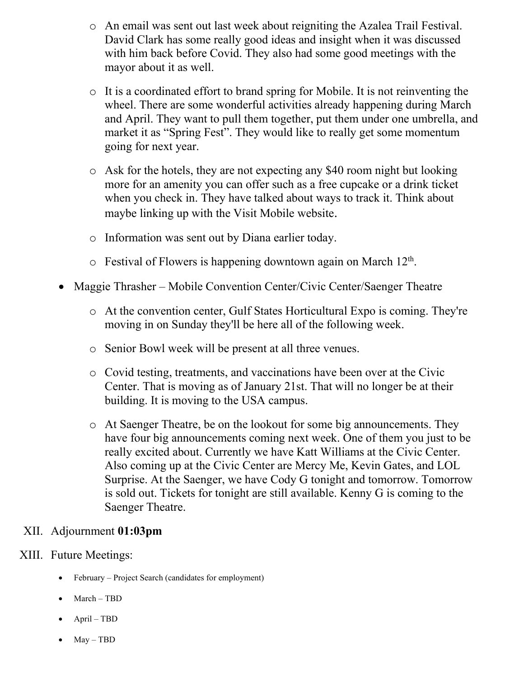- o An email was sent out last week about reigniting the Azalea Trail Festival. David Clark has some really good ideas and insight when it was discussed with him back before Covid. They also had some good meetings with the mayor about it as well.
- o It is a coordinated effort to brand spring for Mobile. It is not reinventing the wheel. There are some wonderful activities already happening during March and April. They want to pull them together, put them under one umbrella, and market it as "Spring Fest". They would like to really get some momentum going for next year.
- o Ask for the hotels, they are not expecting any \$40 room night but looking more for an amenity you can offer such as a free cupcake or a drink ticket when you check in. They have talked about ways to track it. Think about maybe linking up with the Visit Mobile website.
- o Information was sent out by Diana earlier today.
- $\circ$  Festival of Flowers is happening downtown again on March 12<sup>th</sup>.
- Maggie Thrasher Mobile Convention Center/Civic Center/Saenger Theatre
	- o At the convention center, Gulf States Horticultural Expo is coming. They're moving in on Sunday they'll be here all of the following week.
	- o Senior Bowl week will be present at all three venues.
	- o Covid testing, treatments, and vaccinations have been over at the Civic Center. That is moving as of January 21st. That will no longer be at their building. It is moving to the USA campus.
	- o At Saenger Theatre, be on the lookout for some big announcements. They have four big announcements coming next week. One of them you just to be really excited about. Currently we have Katt Williams at the Civic Center. Also coming up at the Civic Center are Mercy Me, Kevin Gates, and LOL Surprise. At the Saenger, we have Cody G tonight and tomorrow. Tomorrow is sold out. Tickets for tonight are still available. Kenny G is coming to the Saenger Theatre.

### XII. Adjournment **01:03pm**

### XIII. Future Meetings:

- February Project Search (candidates for employment)
- March TBD
- April TBD
- May TBD